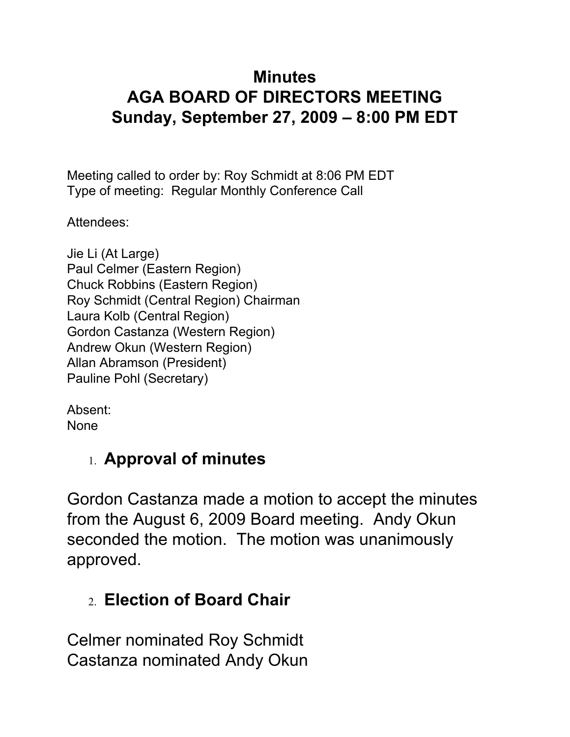### **Minutes AGA BOARD OF DIRECTORS MEETING Sunday, September 27, 2009 – 8:00 PM EDT**

Meeting called to order by: Roy Schmidt at 8:06 PM EDT Type of meeting: Regular Monthly Conference Call

Attendees:

| Jie Li (At Large)                     |
|---------------------------------------|
| Paul Celmer (Eastern Region)          |
| <b>Chuck Robbins (Eastern Region)</b> |
| Roy Schmidt (Central Region) Chairman |
| Laura Kolb (Central Region)           |
| Gordon Castanza (Western Region)      |
| Andrew Okun (Western Region)          |
| Allan Abramson (President)            |
| Pauline Pohl (Secretary)              |
|                                       |

Absent: None

## 1. **Approval of minutes**

Gordon Castanza made a motion to accept the minutes from the August 6, 2009 Board meeting. Andy Okun seconded the motion. The motion was unanimously approved.

### 2. **Election of Board Chair**

Celmer nominated Roy Schmidt Castanza nominated Andy Okun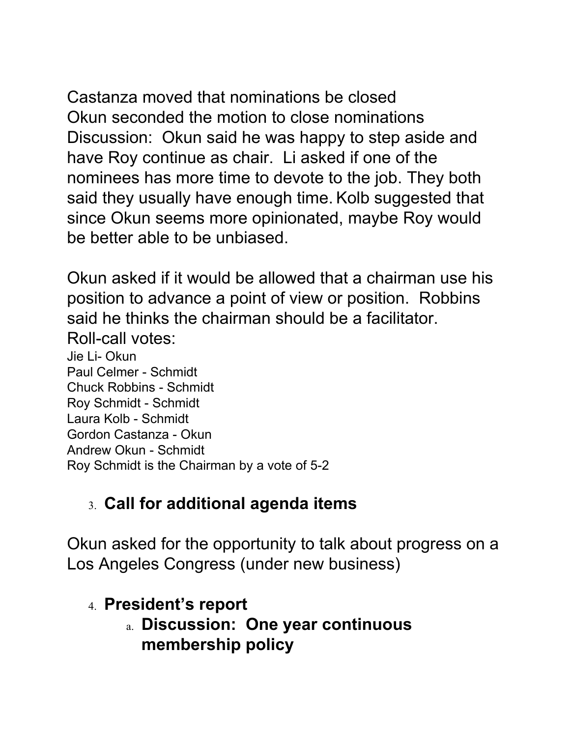Castanza moved that nominations be closed Okun seconded the motion to close nominations Discussion: Okun said he was happy to step aside and have Roy continue as chair. Li asked if one of the nominees has more time to devote to the job. They both said they usually have enough time. Kolb suggested that since Okun seems more opinionated, maybe Roy would be better able to be unbiased.

Okun asked if it would be allowed that a chairman use his position to advance a point of view or position. Robbins said he thinks the chairman should be a facilitator. Roll-call votes:

Jie Li- Okun Paul Celmer - Schmidt Chuck Robbins - Schmidt Roy Schmidt - Schmidt Laura Kolb - Schmidt Gordon Castanza - Okun Andrew Okun - Schmidt Roy Schmidt is the Chairman by a vote of 5-2

# 3. **Call for additional agenda items**

Okun asked for the opportunity to talk about progress on a Los Angeles Congress (under new business)

## 4. **President's report**

a. **Discussion: One year continuous membership policy**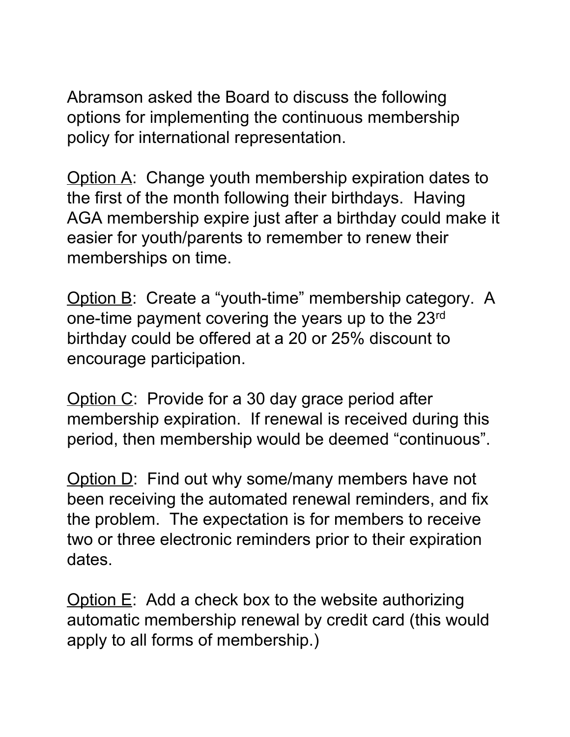Abramson asked the Board to discuss the following options for implementing the continuous membership policy for international representation.

Option A: Change youth membership expiration dates to the first of the month following their birthdays. Having AGA membership expire just after a birthday could make it easier for youth/parents to remember to renew their memberships on time.

Option B: Create a "youth-time" membership category. A one-time payment covering the years up to the 23rd birthday could be offered at a 20 or 25% discount to encourage participation.

Option C: Provide for a 30 day grace period after membership expiration. If renewal is received during this period, then membership would be deemed "continuous".

Option D: Find out why some/many members have not been receiving the automated renewal reminders, and fix the problem. The expectation is for members to receive two or three electronic reminders prior to their expiration dates.

Option  $E$ : Add a check box to the website authorizing automatic membership renewal by credit card (this would apply to all forms of membership.)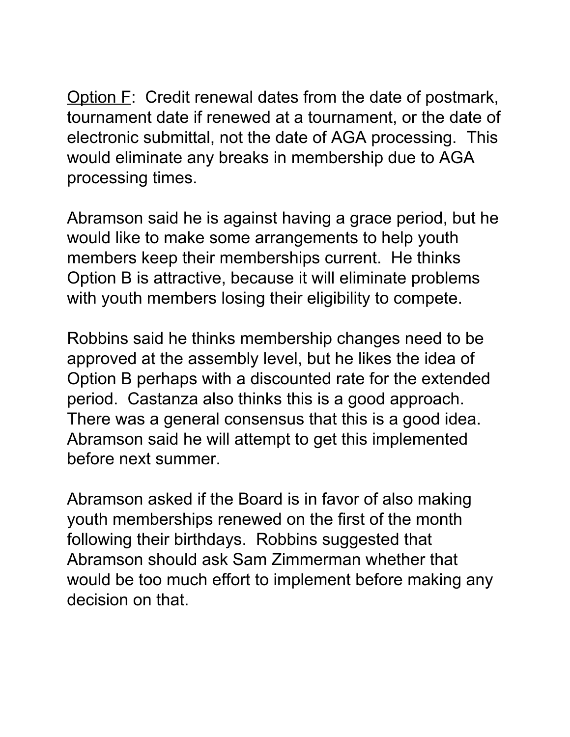Option F: Credit renewal dates from the date of postmark, tournament date if renewed at a tournament, or the date of electronic submittal, not the date of AGA processing. This would eliminate any breaks in membership due to AGA processing times.

Abramson said he is against having a grace period, but he would like to make some arrangements to help youth members keep their memberships current. He thinks Option B is attractive, because it will eliminate problems with youth members losing their eligibility to compete.

Robbins said he thinks membership changes need to be approved at the assembly level, but he likes the idea of Option B perhaps with a discounted rate for the extended period. Castanza also thinks this is a good approach. There was a general consensus that this is a good idea. Abramson said he will attempt to get this implemented before next summer.

Abramson asked if the Board is in favor of also making youth memberships renewed on the first of the month following their birthdays. Robbins suggested that Abramson should ask Sam Zimmerman whether that would be too much effort to implement before making any decision on that.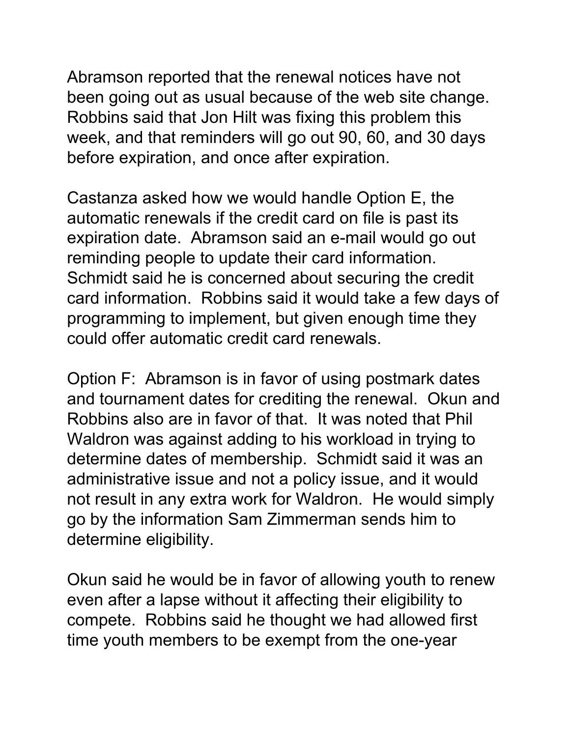Abramson reported that the renewal notices have not been going out as usual because of the web site change. Robbins said that Jon Hilt was fixing this problem this week, and that reminders will go out 90, 60, and 30 days before expiration, and once after expiration.

Castanza asked how we would handle Option E, the automatic renewals if the credit card on file is past its expiration date. Abramson said an e-mail would go out reminding people to update their card information. Schmidt said he is concerned about securing the credit card information. Robbins said it would take a few days of programming to implement, but given enough time they could offer automatic credit card renewals.

Option F: Abramson is in favor of using postmark dates and tournament dates for crediting the renewal. Okun and Robbins also are in favor of that. It was noted that Phil Waldron was against adding to his workload in trying to determine dates of membership. Schmidt said it was an administrative issue and not a policy issue, and it would not result in any extra work for Waldron. He would simply go by the information Sam Zimmerman sends him to determine eligibility.

Okun said he would be in favor of allowing youth to renew even after a lapse without it affecting their eligibility to compete. Robbins said he thought we had allowed first time youth members to be exempt from the one-year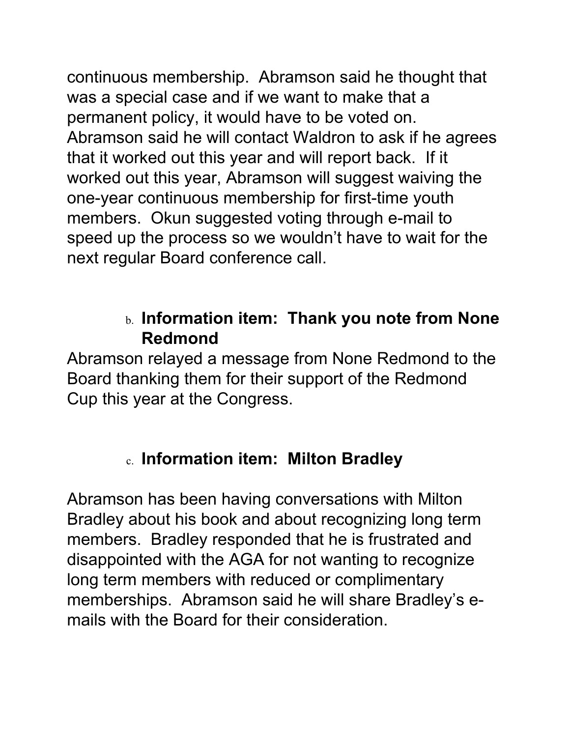continuous membership. Abramson said he thought that was a special case and if we want to make that a permanent policy, it would have to be voted on. Abramson said he will contact Waldron to ask if he agrees that it worked out this year and will report back. If it worked out this year, Abramson will suggest waiving the one-year continuous membership for first-time youth members. Okun suggested voting through e-mail to speed up the process so we wouldn't have to wait for the next regular Board conference call.

### b. **Information item: Thank you note from None Redmond**

Abramson relayed a message from None Redmond to the Board thanking them for their support of the Redmond Cup this year at the Congress.

# c. **Information item: Milton Bradley**

Abramson has been having conversations with Milton Bradley about his book and about recognizing long term members. Bradley responded that he is frustrated and disappointed with the AGA for not wanting to recognize long term members with reduced or complimentary memberships. Abramson said he will share Bradley's emails with the Board for their consideration.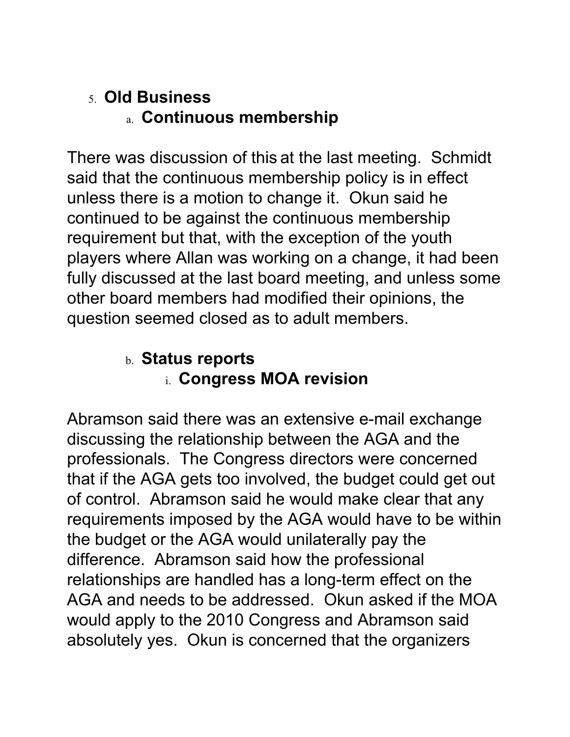### 5. **Old Business** a. **Continuous membership**

There was discussion of this at the last meeting. Schmidt said that the continuous membership policy is in effect unless there is a motion to change it. Okun said he continued to be against the continuous membership requirement but that, with the exception of the youth players where Allan was working on a change, it had been fully discussed at the last board meeting, and unless some other board members had modified their opinions, the question seemed closed as to adult members.

# b. **Status reports** i. **Congress MOA revision**

Abramson said there was an extensive e-mail exchange discussing the relationship between the AGA and the professionals. The Congress directors were concerned that if the AGA gets too involved, the budget could get out of control. Abramson said he would make clear that any requirements imposed by the AGA would have to be within the budget or the AGA would unilaterally pay the difference. Abramson said how the professional relationships are handled has a long-term effect on the AGA and needs to be addressed. Okun asked if the MOA would apply to the 2010 Congress and Abramson said absolutely yes. Okun is concerned that the organizers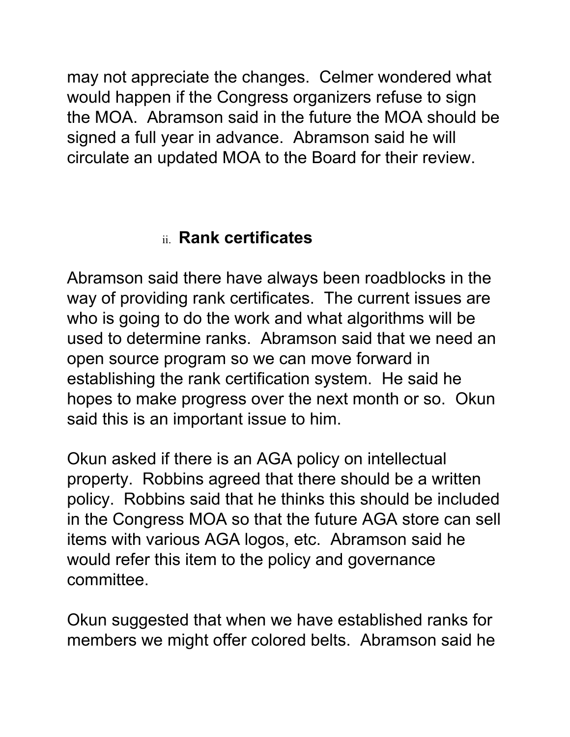may not appreciate the changes. Celmer wondered what would happen if the Congress organizers refuse to sign the MOA. Abramson said in the future the MOA should be signed a full year in advance. Abramson said he will circulate an updated MOA to the Board for their review.

## ii. **Rank certificates**

Abramson said there have always been roadblocks in the way of providing rank certificates. The current issues are who is going to do the work and what algorithms will be used to determine ranks. Abramson said that we need an open source program so we can move forward in establishing the rank certification system. He said he hopes to make progress over the next month or so. Okun said this is an important issue to him.

Okun asked if there is an AGA policy on intellectual property. Robbins agreed that there should be a written policy. Robbins said that he thinks this should be included in the Congress MOA so that the future AGA store can sell items with various AGA logos, etc. Abramson said he would refer this item to the policy and governance committee.

Okun suggested that when we have established ranks for members we might offer colored belts. Abramson said he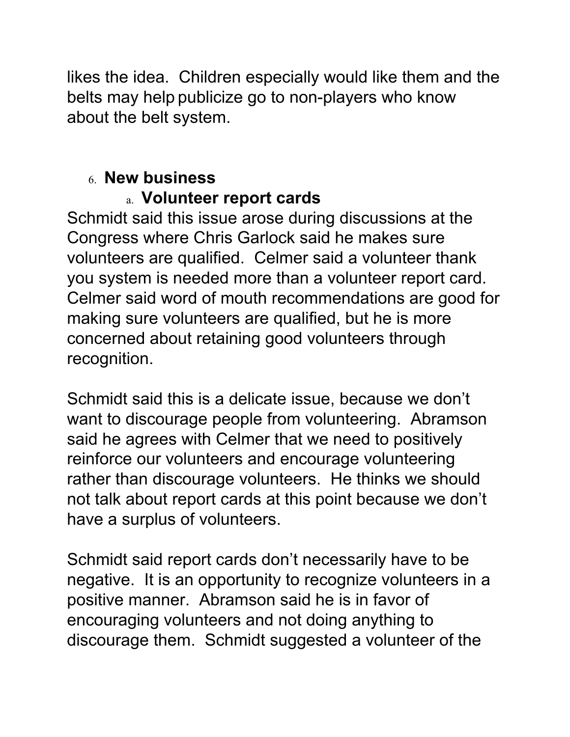likes the idea. Children especially would like them and the belts may help publicize go to non-players who know about the belt system.

### 6. **New business**

### a. **Volunteer report cards**

Schmidt said this issue arose during discussions at the Congress where Chris Garlock said he makes sure volunteers are qualified. Celmer said a volunteer thank you system is needed more than a volunteer report card. Celmer said word of mouth recommendations are good for making sure volunteers are qualified, but he is more concerned about retaining good volunteers through recognition.

Schmidt said this is a delicate issue, because we don't want to discourage people from volunteering. Abramson said he agrees with Celmer that we need to positively reinforce our volunteers and encourage volunteering rather than discourage volunteers. He thinks we should not talk about report cards at this point because we don't have a surplus of volunteers.

Schmidt said report cards don't necessarily have to be negative. It is an opportunity to recognize volunteers in a positive manner. Abramson said he is in favor of encouraging volunteers and not doing anything to discourage them. Schmidt suggested a volunteer of the